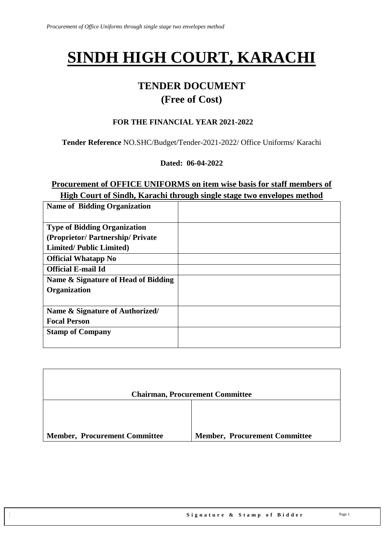# **SINDH HIGH COURT, KARACHI**

## **TENDER DOCUMENT**

## **(Free of Cost)**

#### **FOR THE FINANCIAL YEAR 2021-2022**

**Tender Reference** NO.SHC/Budget/Tender-2021-2022/ Office Uniforms/ Karachi

**Dated: 06-04-2022** 

#### **Procurement of OFFICE UNIFORMS on item wise basis for staff members of High Court of Sindh, Karachi through single stage two envelopes method**

| <b>Name of Bidding Organization</b> |  |
|-------------------------------------|--|
| <b>Type of Bidding Organization</b> |  |
| (Proprietor/Partnership/Private)    |  |
| <b>Limited/Public Limited)</b>      |  |
| <b>Official Whatapp No</b>          |  |
| <b>Official E-mail Id</b>           |  |
| Name & Signature of Head of Bidding |  |
| <b>Organization</b>                 |  |
|                                     |  |
| Name & Signature of Authorized/     |  |
| <b>Focal Person</b>                 |  |
| <b>Stamp of Company</b>             |  |
|                                     |  |

|                                      | <b>Chairman, Procurement Committee</b> |
|--------------------------------------|----------------------------------------|
|                                      |                                        |
| <b>Member, Procurement Committee</b> | <b>Member, Procurement Committee</b>   |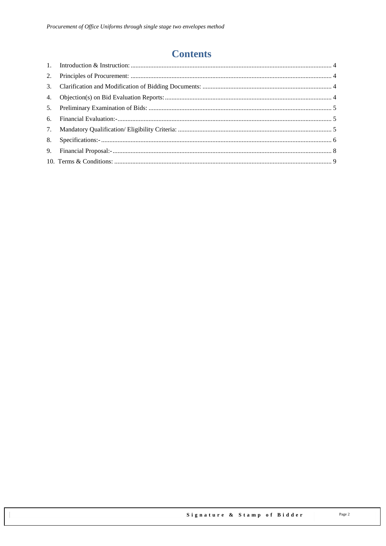# **Contents**

| 5. |  |
|----|--|
|    |  |
|    |  |
|    |  |
|    |  |
|    |  |
|    |  |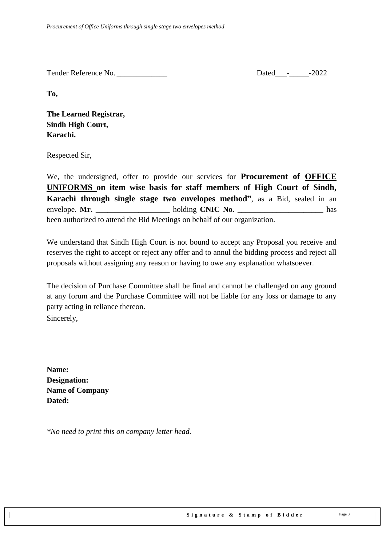Tender Reference No. \_\_\_\_\_\_\_\_\_\_\_\_\_ Dated\_\_\_-\_\_\_\_\_-2022

**To,** 

**The Learned Registrar, Sindh High Court, Karachi.**

Respected Sir,

We, the undersigned, offer to provide our services for **Procurement of OFFICE UNIFORMS on item wise basis for staff members of High Court of Sindh, Karachi through single stage two envelopes method"**, as a Bid, sealed in an envelope. **Mr. \_\_\_\_\_\_\_\_\_\_\_\_\_\_\_\_\_\_\_** holding **CNIC No. \_\_\_\_\_\_\_\_\_\_\_\_\_\_\_\_\_\_\_\_\_\_** has been authorized to attend the Bid Meetings on behalf of our organization.

We understand that Sindh High Court is not bound to accept any Proposal you receive and reserves the right to accept or reject any offer and to annul the bidding process and reject all proposals without assigning any reason or having to owe any explanation whatsoever.

The decision of Purchase Committee shall be final and cannot be challenged on any ground at any forum and the Purchase Committee will not be liable for any loss or damage to any party acting in reliance thereon.

Sincerely,

**Name: Designation: Name of Company Dated:**

*\*No need to print this on company letter head.*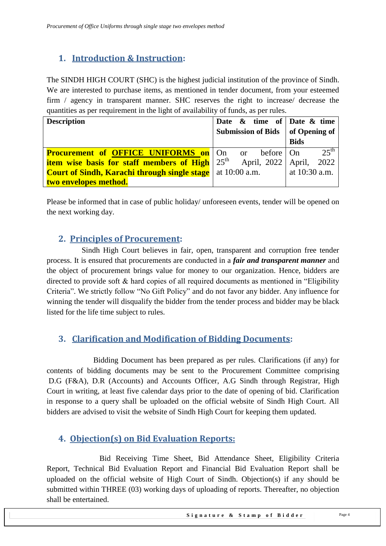### <span id="page-3-0"></span>**1. Introduction & Instruction:**

The SINDH HIGH COURT (SHC) is the highest judicial institution of the province of [Sindh.](https://en.wikipedia.org/wiki/Sindh) We are interested to purchase items, as mentioned in tender document, from your esteemed firm / agency in transparent manner. SHC reserves the right to increase/ decrease the quantities as per requirement in the light of availability of funds, as per rules.

| <b>Description</b>                                                              | Date $\&$ time of Date $\&$ time   |                  |
|---------------------------------------------------------------------------------|------------------------------------|------------------|
|                                                                                 | Submission of Bids   of Opening of |                  |
|                                                                                 |                                    | <b>Bids</b>      |
| <b>Procurement of OFFICE UNIFORMS on</b> On or                                  | before On                          | $25^{\text{th}}$ |
| <b>item wise basis for staff members of High</b> $25th$ April, 2022 April, 2022 |                                    |                  |
| <b>Court of Sindh, Karachi through single stage</b> at 10:00 a.m.               |                                    | at $10:30$ a.m.  |
| two envelopes method.                                                           |                                    |                  |

<span id="page-3-1"></span>Please be informed that in case of public holiday/ unforeseen events, tender will be opened on the next working day.

#### **2. Principles of Procurement:**

 Sindh High Court believes in fair, open, transparent and corruption free tender process. It is ensured that procurements are conducted in a *fair and transparent manner* and the object of procurement brings value for money to our organization. Hence, bidders are directed to provide soft  $\&$  hard copies of all required documents as mentioned in "Eligibility" Criteria". We strictly follow "No Gift Policy" and do not favor any bidder. Any influence for winning the tender will disqualify the bidder from the tender process and bidder may be black listed for the life time subject to rules.

#### <span id="page-3-2"></span>**3. Clarification and Modification of Bidding Documents:**

Bidding Document has been prepared as per rules. Clarifications (if any) for contents of bidding documents may be sent to the Procurement Committee comprising D.G (F&A), D.R (Accounts) and Accounts Officer, A.G Sindh through Registrar, High Court in writing, at least five calendar days prior to the date of opening of bid. Clarification in response to a query shall be uploaded on the official website of Sindh High Court. All bidders are advised to visit the website of Sindh High Court for keeping them updated.

#### <span id="page-3-3"></span>**4. Objection(s) on Bid Evaluation Reports:**

 Bid Receiving Time Sheet, Bid Attendance Sheet, Eligibility Criteria Report, Technical Bid Evaluation Report and Financial Bid Evaluation Report shall be uploaded on the official website of High Court of Sindh. Objection(s) if any should be submitted within THREE (03) working days of uploading of reports. Thereafter, no objection shall be entertained.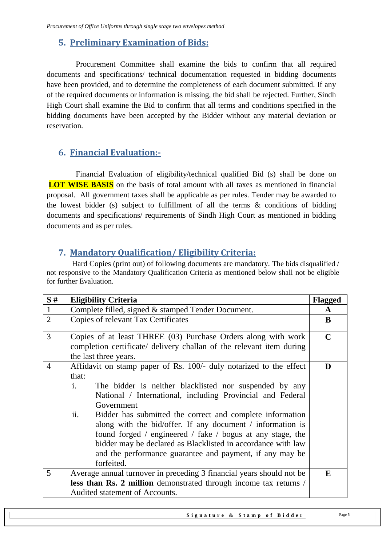#### <span id="page-4-0"></span>**5. Preliminary Examination of Bids:**

 Procurement Committee shall examine the bids to confirm that all required documents and specifications/ technical documentation requested in bidding documents have been provided, and to determine the completeness of each document submitted. If any of the required documents or information is missing, the bid shall be rejected. Further, Sindh High Court shall examine the Bid to confirm that all terms and conditions specified in the bidding documents have been accepted by the Bidder without any material deviation or reservation.

#### <span id="page-4-1"></span>**6. Financial Evaluation:-**

 Financial Evaluation of eligibility/technical qualified Bid (s) shall be done on **LOT WISE BASIS** on the basis of total amount with all taxes as mentioned in financial proposal. All government taxes shall be applicable as per rules. Tender may be awarded to the lowest bidder (s) subject to fulfillment of all the terms & conditions of bidding documents and specifications/ requirements of Sindh High Court as mentioned in bidding documents and as per rules.

#### <span id="page-4-2"></span>**7. Mandatory Qualification/ Eligibility Criteria:**

 Hard Copies (print out) of following documents are mandatory. The bids disqualified / not responsive to the Mandatory Qualification Criteria as mentioned below shall not be eligible for further Evaluation.

| S#             | <b>Eligibility Criteria</b>                                              | <b>Flagged</b> |  |
|----------------|--------------------------------------------------------------------------|----------------|--|
| $\mathbf{1}$   | Complete filled, signed & stamped Tender Document.                       |                |  |
| $\overline{2}$ | Copies of relevant Tax Certificates                                      | B              |  |
| $\overline{3}$ | Copies of at least THREE (03) Purchase Orders along with work            | $\mathbf C$    |  |
|                | completion certificate/ delivery challan of the relevant item during     |                |  |
|                | the last three years.                                                    |                |  |
| $\overline{4}$ | Affidavit on stamp paper of Rs. 100/- duly notarized to the effect       | D              |  |
|                | that:                                                                    |                |  |
|                | $\mathbf{i}$ .<br>The bidder is neither blacklisted nor suspended by any |                |  |
|                | National / International, including Provincial and Federal               |                |  |
|                | Government                                                               |                |  |
|                | ii.<br>Bidder has submitted the correct and complete information         |                |  |
|                | along with the bid/offer. If any document / information is               |                |  |
|                | found forged / engineered / fake / bogus at any stage, the               |                |  |
|                | bidder may be declared as Blacklisted in accordance with law             |                |  |
|                | and the performance guarantee and payment, if any may be                 |                |  |
|                | forfeited.                                                               |                |  |
| 5              | Average annual turnover in preceding 3 financial years should not be     | E              |  |
|                | less than Rs. 2 million demonstrated through income tax returns /        |                |  |
|                | Audited statement of Accounts.                                           |                |  |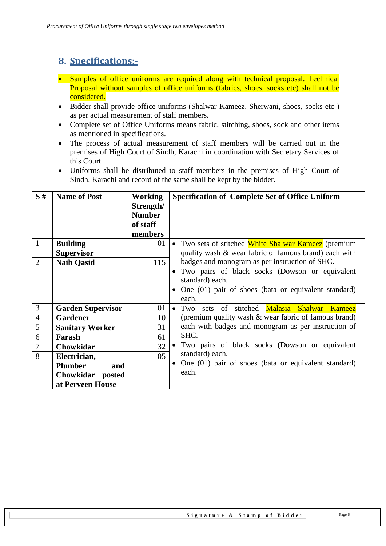## <span id="page-5-0"></span>**8. Specifications:-**

- Samples of office uniforms are required along with technical proposal. Technical Proposal without samples of office uniforms (fabrics, shoes, socks etc) shall not be considered.
- Bidder shall provide office uniforms (Shalwar Kameez, Sherwani, shoes, socks etc) as per actual measurement of staff members.
- Complete set of Office Uniforms means fabric, stitching, shoes, sock and other items as mentioned in specifications.
- The process of actual measurement of staff members will be carried out in the premises of High Court of Sindh, Karachi in coordination with Secretary Services of this Court.
- Uniforms shall be distributed to staff members in the premises of High Court of Sindh, Karachi and record of the same shall be kept by the bidder.

| S#             | <b>Name of Post</b>      | <b>Working</b>  | <b>Specification of Complete Set of Office Uniform</b>   |
|----------------|--------------------------|-----------------|----------------------------------------------------------|
|                |                          | Strength/       |                                                          |
|                |                          | <b>Number</b>   |                                                          |
|                |                          | of staff        |                                                          |
|                |                          | members         |                                                          |
| $\mathbf{1}$   | <b>Building</b>          | 01              | • Two sets of stitched White Shalwar Kameez (premium     |
|                | <b>Supervisor</b>        |                 | quality wash & wear fabric of famous brand) each with    |
| $\overline{2}$ | <b>Naib Qasid</b>        | 115             | badges and monogram as per instruction of SHC.           |
|                |                          |                 | • Two pairs of black socks (Dowson or equivalent         |
|                |                          |                 | standard) each.                                          |
|                |                          |                 | • One $(01)$ pair of shoes (bata or equivalent standard) |
|                |                          |                 | each.                                                    |
| $\mathfrak{Z}$ | <b>Garden Supervisor</b> | 01              | sets of stitched Malasia Shalwar Kameez<br>$\bullet$ Two |
| $\overline{4}$ | <b>Gardener</b>          | 10              | (premium quality wash & wear fabric of famous brand)     |
| 5              | <b>Sanitary Worker</b>   | 31              | each with badges and monogram as per instruction of      |
| 6              | Farash                   | 61              | SHC.                                                     |
| $\tau$         | Chowkidar                | 32              | Two pairs of black socks (Dowson or equivalent           |
| 8              | Electrician,             | 05 <sub>o</sub> | standard) each.                                          |
|                | <b>Plumber</b><br>and    |                 | • One $(01)$ pair of shoes (bata or equivalent standard) |
|                | Chowkidar posted         |                 | each.                                                    |
|                | at Perveen House         |                 |                                                          |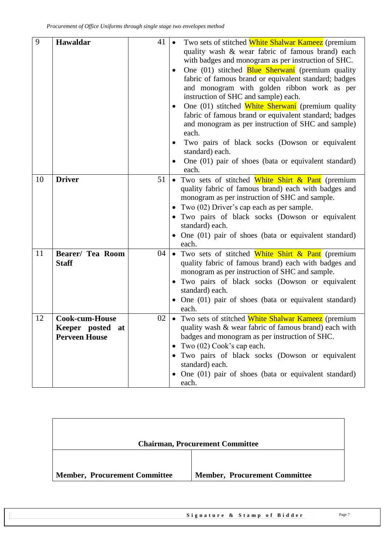| 9  | Hawaldar                | 41 | Two sets of stitched White Shalwar Kameez (premium<br>quality wash & wear fabric of famous brand) each<br>with badges and monogram as per instruction of SHC.<br>One (01) stitched <b>Blue Sherwani</b> (premium quality<br>$\bullet$<br>fabric of famous brand or equivalent standard; badges<br>and monogram with golden ribbon work as per<br>instruction of SHC and sample) each.<br>One (01) stitched White Sherwani (premium quality<br>fabric of famous brand or equivalent standard; badges<br>and monogram as per instruction of SHC and sample)<br>each.<br>Two pairs of black socks (Dowson or equivalent<br>٠<br>standard) each.<br>One (01) pair of shoes (bata or equivalent standard)<br>each. |
|----|-------------------------|----|---------------------------------------------------------------------------------------------------------------------------------------------------------------------------------------------------------------------------------------------------------------------------------------------------------------------------------------------------------------------------------------------------------------------------------------------------------------------------------------------------------------------------------------------------------------------------------------------------------------------------------------------------------------------------------------------------------------|
| 10 | <b>Driver</b>           | 51 | • Two sets of stitched White Shirt & Pant (premium                                                                                                                                                                                                                                                                                                                                                                                                                                                                                                                                                                                                                                                            |
|    |                         |    | quality fabric of famous brand) each with badges and<br>monogram as per instruction of SHC and sample.<br>• Two $(02)$ Driver's cap each as per sample.<br>· Two pairs of black socks (Dowson or equivalent<br>standard) each.<br>• One (01) pair of shoes (bata or equivalent standard)<br>each.                                                                                                                                                                                                                                                                                                                                                                                                             |
| 11 | <b>Bearer/ Tea Room</b> | 04 | • Two sets of stitched White Shirt & Pant (premium                                                                                                                                                                                                                                                                                                                                                                                                                                                                                                                                                                                                                                                            |
|    | <b>Staff</b>            |    | quality fabric of famous brand) each with badges and<br>monogram as per instruction of SHC and sample.<br>Two pairs of black socks (Dowson or equivalent<br>$\bullet$<br>standard) each.<br>• One (01) pair of shoes (bata or equivalent standard)<br>each.                                                                                                                                                                                                                                                                                                                                                                                                                                                   |
| 12 | <b>Cook-cum-House</b>   | 02 | • Two sets of stitched White Shalwar Kameez (premium                                                                                                                                                                                                                                                                                                                                                                                                                                                                                                                                                                                                                                                          |
|    | Keeper posted<br>at     |    | quality wash & wear fabric of famous brand) each with                                                                                                                                                                                                                                                                                                                                                                                                                                                                                                                                                                                                                                                         |
|    | <b>Perveen House</b>    |    | badges and monogram as per instruction of SHC.                                                                                                                                                                                                                                                                                                                                                                                                                                                                                                                                                                                                                                                                |
|    |                         |    | Two $(02)$ Cook's cap each.<br>$\bullet$                                                                                                                                                                                                                                                                                                                                                                                                                                                                                                                                                                                                                                                                      |
|    |                         |    | Two pairs of black socks (Dowson or equivalent<br>standard) each.                                                                                                                                                                                                                                                                                                                                                                                                                                                                                                                                                                                                                                             |
|    |                         |    | • One (01) pair of shoes (bata or equivalent standard)                                                                                                                                                                                                                                                                                                                                                                                                                                                                                                                                                                                                                                                        |
|    |                         |    | each.                                                                                                                                                                                                                                                                                                                                                                                                                                                                                                                                                                                                                                                                                                         |

| <b>Chairman, Procurement Committee</b>                                       |  |  |
|------------------------------------------------------------------------------|--|--|
| <b>Member, Procurement Committee</b><br><b>Member, Procurement Committee</b> |  |  |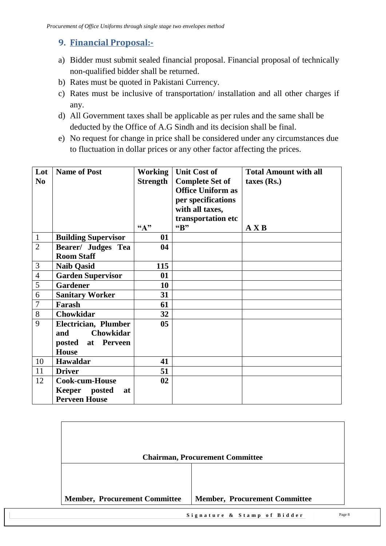#### <span id="page-7-0"></span>**9. Financial Proposal:-**

- a) Bidder must submit sealed financial proposal. Financial proposal of technically non-qualified bidder shall be returned.
- b) Rates must be quoted in Pakistani Currency.
- c) Rates must be inclusive of transportation/ installation and all other charges if any.
- d) All Government taxes shall be applicable as per rules and the same shall be deducted by the Office of A.G Sindh and its decision shall be final.
- e) No request for change in price shall be considered under any circumstances due to fluctuation in dollar prices or any other factor affecting the prices.

| Lot            | <b>Name of Post</b>        | <b>Working</b>    | <b>Unit Cost of</b>      | <b>Total Amount with all</b> |
|----------------|----------------------------|-------------------|--------------------------|------------------------------|
| N <sub>0</sub> |                            | <b>Strength</b>   | <b>Complete Set of</b>   | $taxes$ (Rs.)                |
|                |                            |                   | <b>Office Uniform as</b> |                              |
|                |                            |                   | per specifications       |                              |
|                |                            |                   | with all taxes,          |                              |
|                |                            |                   | transportation etc       |                              |
|                |                            | $A$ <sup>29</sup> | "B"                      | A X B                        |
| $\mathbf{1}$   | <b>Building Supervisor</b> | 01                |                          |                              |
| $\overline{2}$ | <b>Bearer/ Judges Tea</b>  | 04                |                          |                              |
|                | <b>Room Staff</b>          |                   |                          |                              |
| 3              | <b>Naib Qasid</b>          | 115               |                          |                              |
| $\overline{4}$ | <b>Garden Supervisor</b>   | 01                |                          |                              |
| 5              | <b>Gardener</b>            | 10                |                          |                              |
| 6              | <b>Sanitary Worker</b>     | 31                |                          |                              |
| $\overline{7}$ | Farash                     | 61                |                          |                              |
| 8              | Chowkidar                  | 32                |                          |                              |
| 9              | Electrician, Plumber       | 0 <sub>5</sub>    |                          |                              |
|                | Chowkidar<br>and           |                   |                          |                              |
|                | at Perveen<br>posted       |                   |                          |                              |
|                | <b>House</b>               |                   |                          |                              |
| 10             | <b>Hawaldar</b>            | 41                |                          |                              |
| 11             | <b>Driver</b>              | 51                |                          |                              |
| 12             | <b>Cook-cum-House</b>      | 02                |                          |                              |
|                | Keeper posted<br>at        |                   |                          |                              |
|                | <b>Perveen House</b>       |                   |                          |                              |

|                                      | <b>Chairman, Procurement Committee</b> |
|--------------------------------------|----------------------------------------|
| <b>Member, Procurement Committee</b> | <b>Member, Procurement Committee</b>   |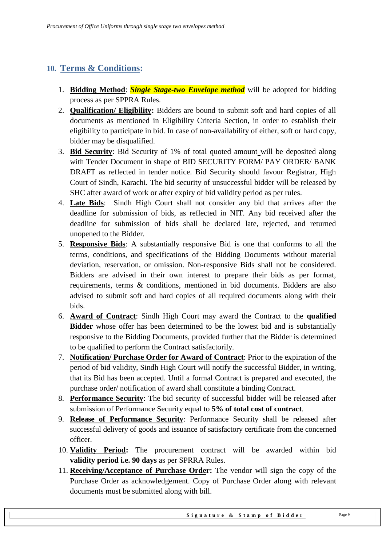#### <span id="page-8-0"></span>**10. Terms & Conditions:**

- 1. **Bidding Method**: *Single Stage-two Envelope method* will be adopted for bidding process as per SPPRA Rules.
- 2. **Qualification/ Eligibility:** Bidders are bound to submit soft and hard copies of all documents as mentioned in Eligibility Criteria Section, in order to establish their eligibility to participate in bid. In case of non-availability of either, soft or hard copy, bidder may be disqualified.
- 3. **Bid Security**: Bid Security of 1% of total quoted amount will be deposited along with Tender Document in shape of BID SECURITY FORM/ PAY ORDER/ BANK DRAFT as reflected in tender notice. Bid Security should favour Registrar, High Court of Sindh, Karachi. The bid security of unsuccessful bidder will be released by SHC after award of work or after expiry of bid validity period as per rules.
- 4. **Late Bids**: Sindh High Court shall not consider any bid that arrives after the deadline for submission of bids, as reflected in NIT. Any bid received after the deadline for submission of bids shall be declared late, rejected, and returned unopened to the Bidder.
- 5. **Responsive Bids**: A substantially responsive Bid is one that conforms to all the terms, conditions, and specifications of the Bidding Documents without material deviation, reservation, or omission. Non-responsive Bids shall not be considered. Bidders are advised in their own interest to prepare their bids as per format, requirements, terms & conditions, mentioned in bid documents. Bidders are also advised to submit soft and hard copies of all required documents along with their bids.
- 6. **Award of Contract**: Sindh High Court may award the Contract to the **qualified Bidder** whose offer has been determined to be the lowest bid and is substantially responsive to the Bidding Documents, provided further that the Bidder is determined to be qualified to perform the Contract satisfactorily.
- 7. **Notification/ Purchase Order for Award of Contract**: Prior to the expiration of the period of bid validity, Sindh High Court will notify the successful Bidder, in writing, that its Bid has been accepted. Until a formal Contract is prepared and executed, the purchase order/ notification of award shall constitute a binding Contract.
- 8. **Performance Security**: The bid security of successful bidder will be released after submission of Performance Security equal to **5% of total cost of contract**.
- 9. **Release of Performance Security**: Performance Security shall be released after successful delivery of goods and issuance of satisfactory certificate from the concerned officer.
- 10. **Validity Period:** The procurement contract will be awarded within bid **validity period i.e. 90 days** as per SPRRA Rules.
- 11. **Receiving/Acceptance of Purchase Order:** The vendor will sign the copy of the Purchase Order as acknowledgement. Copy of Purchase Order along with relevant documents must be submitted along with bill.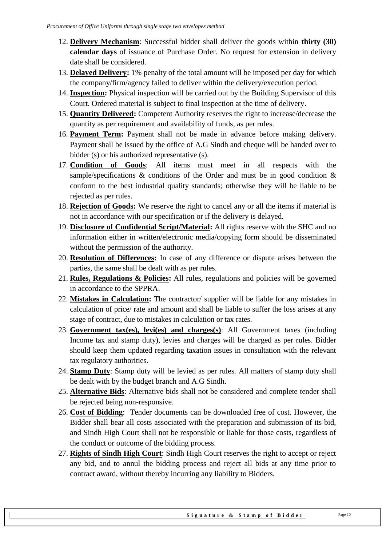- 12. **Delivery Mechanism**: Successful bidder shall deliver the goods within **thirty (30) calendar days** of issuance of Purchase Order. No request for extension in delivery date shall be considered.
- 13. **Delayed Delivery:** 1% penalty of the total amount will be imposed per day for which the company/firm/agency failed to deliver within the delivery/execution period.
- 14. **Inspection:** Physical inspection will be carried out by the Building Supervisor of this Court. Ordered material is subject to final inspection at the time of delivery.
- 15. **Quantity Delivered:** Competent Authority reserves the right to increase/decrease the quantity as per requirement and availability of funds, as per rules.
- 16. **Payment Term:** Payment shall not be made in advance before making delivery. Payment shall be issued by the office of A.G Sindh and cheque will be handed over to bidder (s) or his authorized representative (s).
- 17. **Condition of Goods**: All items must meet in all respects with the sample/specifications  $\&$  conditions of the Order and must be in good condition  $\&$ conform to the best industrial quality standards; otherwise they will be liable to be rejected as per rules.
- 18. **Rejection of Goods:** We reserve the right to cancel any or all the items if material is not in accordance with our specification or if the delivery is delayed.
- 19. **Disclosure of Confidential Script/Material:** All rights reserve with the SHC and no information either in written/electronic media/copying form should be disseminated without the permission of the authority.
- 20. **Resolution of Differences:** In case of any difference or dispute arises between the parties, the same shall be dealt with as per rules.
- 21. **Rules, Regulations & Policies:** All rules, regulations and policies will be governed in accordance to the SPPRA.
- 22. **Mistakes in Calculation:** The contractor/ supplier will be liable for any mistakes in calculation of price/ rate and amount and shall be liable to suffer the loss arises at any stage of contract, due to mistakes in calculation or tax rates.
- 23. **Government tax(es), levi(es) and charges(s)**: All Government taxes (including Income tax and stamp duty), levies and charges will be charged as per rules. Bidder should keep them updated regarding taxation issues in consultation with the relevant tax regulatory authorities.
- 24. **Stamp Duty**: Stamp duty will be levied as per rules. All matters of stamp duty shall be dealt with by the budget branch and A.G Sindh.
- 25. **Alternative Bids**: Alternative bids shall not be considered and complete tender shall be rejected being non-responsive.
- 26. **Cost of Bidding**: Tender documents can be downloaded free of cost. However, the Bidder shall bear all costs associated with the preparation and submission of its bid, and Sindh High Court shall not be responsible or liable for those costs, regardless of the conduct or outcome of the bidding process.
- 27. **Rights of Sindh High Court**: Sindh High Court reserves the right to accept or reject any bid, and to annul the bidding process and reject all bids at any time prior to contract award, without thereby incurring any liability to Bidders.